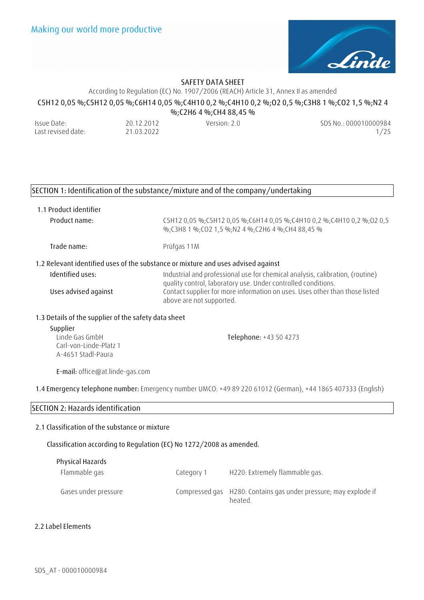

According to Regulation (EC) No. 1907/2006 (REACH) Article 31, Annex II as amended

**C5H12 0,05 %;C5H12 0,05 %;C6H14 0,05 %;C4H10 0,2 %;C4H10 0,2 %;O2 0,5 %;C3H8 1 %;CO2 1,5 %;N2 4** 

**%;C2H6 4 %;CH4 88,45 %** 

| Issue Date:        | 20.12.2012 | Version: 2.0 | SDS No.: 000010000984 |
|--------------------|------------|--------------|-----------------------|
| Last revised date: | 21.03.2022 |              | 1/25                  |

### **SECTION 1: Identification of the substance/mixture and of the company/undertaking**

**1.1 Product identifier**

**Product name:** C5H12 0,05 %;C5H12 0,05 %;C6H14 0,05 %;C4H10 0,2 %;C4H10 0,2 %;O2 0,5 %;C3H8 1 %;CO2 1,5 %;N2 4 %;C2H6 4 %;CH4 88,45 %

**Trade name:** Prüfgas 11M

### **1.2 Relevant identified uses of the substance or mixture and uses advised against**

| Identified uses:     | Industrial and professional use for chemical analysis, calibration, (routine) |
|----------------------|-------------------------------------------------------------------------------|
|                      | quality control, laboratory use. Under controlled conditions.                 |
| Uses advised against | Contact supplier for more information on uses. Uses other than those listed   |
|                      | above are not supported.                                                      |

### **1.3 Details of the supplier of the safety data sheet**

| Supplier               |                        |
|------------------------|------------------------|
| Linde Gas GmbH         | Telephone: +43 50 4273 |
| Carl-von-Linde-Platz 1 |                        |
| A-4651 Stadl-Paura     |                        |

**E-mail:** office@at.linde-gas.com

**1.4 Emergency telephone number:** Emergency number UMCO: +49 89 220 61012 (German), +44 1865 407333 (English)

### **SECTION 2: Hazards identification**

### **2.1 Classification of the substance or mixture**

**Classification according to Regulation (EC) No 1272/2008 as amended.** 

| Physical Hazards     |            |                                                                             |
|----------------------|------------|-----------------------------------------------------------------------------|
| Flammable gas        | Category 1 | H220: Extremely flammable gas.                                              |
| Gases under pressure |            | Compressed gas H280: Contains gas under pressure; may explode if<br>heated. |

### **2.2 Label Elements**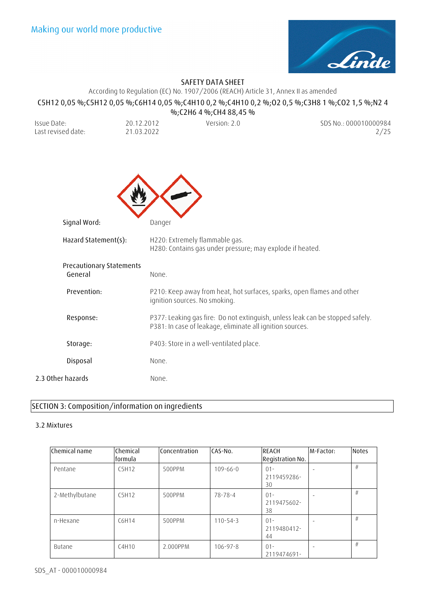

# **SAFETY DATA SHEET**<br>According to Pequlation (EC) No. 1907/2006 (PEACH)

|                                            |                               | According to Regulation (EC) No. 1907/2006 (REACH) Article 31, Annex II as amended          |                                                                                                 |
|--------------------------------------------|-------------------------------|---------------------------------------------------------------------------------------------|-------------------------------------------------------------------------------------------------|
|                                            |                               | %; C2H6 4 %; CH4 88, 45 %                                                                   | C5H12 0,05 %;C5H12 0,05 %;C6H14 0,05 %;C4H10 0,2 %;C4H10 0,2 %;O2 0,5 %;C3H8 1 %;CO2 1,5 %;N2 4 |
| Issue Date:<br>Last revised date:          | 20.12.2012<br>21.03.2022      | Version: 2.0                                                                                | SDS No.: 000010000984<br>2/25                                                                   |
|                                            |                               |                                                                                             |                                                                                                 |
|                                            |                               |                                                                                             |                                                                                                 |
| Signal Word:                               | Danger                        |                                                                                             |                                                                                                 |
| Hazard Statement(s):                       |                               | H220: Extremely flammable gas.<br>H280: Contains gas under pressure; may explode if heated. |                                                                                                 |
| <b>Precautionary Statements</b><br>General | None.                         |                                                                                             |                                                                                                 |
| Prevention:                                | ignition sources. No smoking. |                                                                                             | P210: Keep away from heat, hot surfaces, sparks, open flames and other                          |
| Response:                                  |                               | P381: In case of leakage, eliminate all ignition sources.                                   | P377: Leaking gas fire: Do not extinguish, unless leak can be stopped safely.                   |
| Storage:                                   |                               | P403: Store in a well-ventilated place.                                                     |                                                                                                 |
| Disposal                                   | None.                         |                                                                                             |                                                                                                 |
| 2.3 Other hazards                          | None.                         |                                                                                             |                                                                                                 |

# **SECTION 3: Composition/information on ingredients**

### **3.2 Mixtures**

| Chemical name  | Chemical<br>lformula | Concentration | CAS-No.        | <b>REACH</b><br><b>Registration No.</b> | M-Factor: | <b>Notes</b> |
|----------------|----------------------|---------------|----------------|-----------------------------------------|-----------|--------------|
| Pentane        | C5H12                | 500PPM        | $109 - 66 - 0$ | $01 -$<br>2119459286-<br>30             |           | #            |
| 2-Methylbutane | C5H12                | 500PPM        | 78-78-4        | $01 -$<br>2119475602-<br>38             |           | #            |
| n-Hexane       | C6H14                | 500PPM        | $110 - 54 - 3$ | $01 -$<br>2119480412-<br>44             |           | #            |
| Butane         | C4H10                | 2.000PPM      | $106 - 97 - 8$ | $01 -$<br>2119474691-                   |           | #            |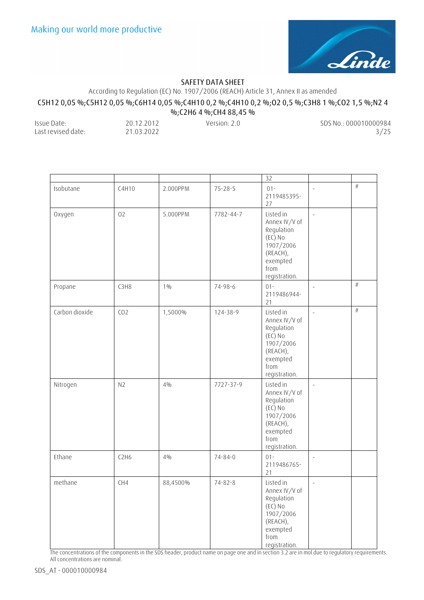

According to Regulation (EC) No. 1907/2006 (REACH) Article 31, Annex II as amended

## **C5H12 0,05 %;C5H12 0,05 %;C6H14 0,05 %;C4H10 0,2 %;C4H10 0,2 %;O2 0,5 %;C3H8 1 %;CO2 1,5 %;N2 4**

**%;C2H6 4 %;CH4 88,45 %** 

| Issue Date:        | 20.12.2012 | Version: 2.0 | SDS No.: 000010000984 |
|--------------------|------------|--------------|-----------------------|
| Last revised date: | 21.03.2022 |              | 3/25                  |

|                |                 |          |               | 32                                                                                                                  |                          |      |
|----------------|-----------------|----------|---------------|---------------------------------------------------------------------------------------------------------------------|--------------------------|------|
| Isobutane      | C4H10           | 2.000PPM | $75 - 28 - 5$ | $01 -$<br>2119485395-<br>27                                                                                         | ÷,                       | $\#$ |
| Oxygen         | 02              | 5.000PPM | 7782-44-7     | Listed in<br>Annex IV/V of<br>Regulation<br>(EC) No<br>1907/2006<br>(REACH),<br>exempted<br>from<br>registration.   | ÷,                       |      |
| Propane        | C3H8            | $1\%$    | 74-98-6       | $01 -$<br>2119486944-<br>21                                                                                         | ÷,                       | $\#$ |
| Carbon dioxide | CO <sub>2</sub> | 1,5000%  | 124-38-9      | Listed in<br>Annex IV/V of<br>Regulation<br>(EC) No<br>1907/2006<br>(REACH),<br>exempted<br>from<br>registration.   | $\overline{\phantom{a}}$ | $\#$ |
| Nitrogen       | N <sub>2</sub>  | $4\%$    | 7727-37-9     | Listed in<br>Annex IV/V of<br>Regulation<br>(EC) No<br>1907/2006<br>(REACH),<br>exempted<br>from<br>registration.   | $\bar{\phantom{a}}$      |      |
| Ethane         | C2H6            | $4\%$    | $74 - 84 - 0$ | $01 -$<br>2119486765-<br>21                                                                                         | $\overline{\phantom{a}}$ |      |
| methane        | CH4             | 88,4500% | $74 - 82 - 8$ | Listed in<br>Annex IV/V of<br>Regulation<br>$(EC)$ No<br>1907/2006<br>(REACH),<br>exempted<br>from<br>registration. | $\overline{\phantom{a}}$ |      |

The concentrations of the components in the SDS header, product name on page one and in section 3.2 are in mol due to regulatory requirements. All concentrations are nominal.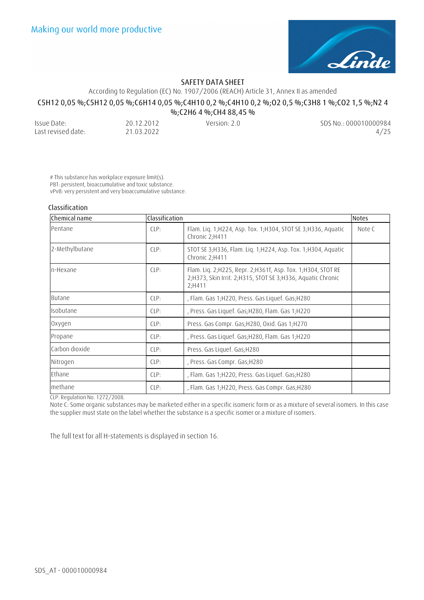

According to Regulation (EC) No. 1907/2006 (REACH) Article 31, Annex II as amended

# **C5H12 0,05 %;C5H12 0,05 %;C6H14 0,05 %;C4H10 0,2 %;C4H10 0,2 %;O2 0,5 %;C3H8 1 %;CO2 1,5 %;N2 4**

**%;C2H6 4 %;CH4 88,45 %** 

| Issue Date:        | 20.12.2012 | Version: $2.0$ | SDS No.: 000010000984 |
|--------------------|------------|----------------|-----------------------|
| Last revised date: | 21.03.2022 |                | 4/25                  |

# This substance has workplace exposure limit(s). PBT: persistent, bioaccumulative and toxic substance. vPvB: very persistent and very bioaccumulative substance.

### **Classification**

| Chemical name  | Classification |                                                                                                                                         | <b>Notes</b> |
|----------------|----------------|-----------------------------------------------------------------------------------------------------------------------------------------|--------------|
| Pentane        | CLP:           | Flam. Liq. 1; H224, Asp. Tox. 1; H304, STOT SE 3; H336, Aquatic<br>Chronic 2;H411                                                       | Note C       |
| 2-Methylbutane | CLP:           | STOT SE 3; H336, Flam. Liq. 1; H224, Asp. Tox. 1; H304, Aquatic<br>Chronic 2;H411                                                       |              |
| n-Hexane       | LPP            | Flam. Lig. 2; H225, Repr. 2; H361f, Asp. Tox. 1; H304, STOT RE<br>2;H373, Skin Irrit. 2;H315, STOT SE 3;H336, Aquatic Chronic<br>2;H411 |              |
| <b>Butane</b>  | CLP:           | , Flam. Gas 1; H220, Press. Gas Liquef. Gas; H280                                                                                       |              |
| Isobutane      | CLP:           | , Press. Gas Liquef. Gas; H280, Flam. Gas 1; H220                                                                                       |              |
| Oxygen         | CLP:           | Press. Gas Compr. Gas; H280, Oxid. Gas 1; H270                                                                                          |              |
| Propane        | CLP:           | , Press. Gas Liquef. Gas; H280, Flam. Gas 1; H220                                                                                       |              |
| Carbon dioxide | CLP:           | Press. Gas Liquef. Gas; H280                                                                                                            |              |
| Nitrogen       | CLP:           | , Press. Gas Compr. Gas; H280                                                                                                           |              |
| Ethane         | CLP:           | , Flam. Gas 1;H220, Press. Gas Liquef. Gas;H280                                                                                         |              |
| methane        | CLP:           | , Flam. Gas 1;H220, Press. Gas Compr. Gas;H280                                                                                          |              |

CLP: Regulation No. 1272/2008.

Note C: Some organic substances may be marketed either in a specific isomeric form or as a mixture of several isomers. In this case the supplier must state on the label whether the substance is a specific isomer or a mixture of isomers.

The full text for all H-statements is displayed in section 16.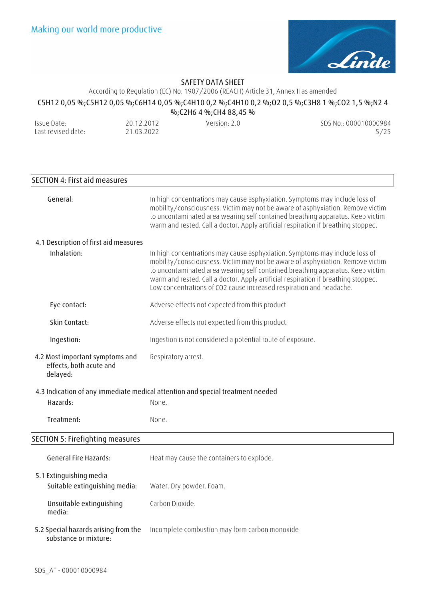

According to Regulation (EC) No. 1907/2006 (REACH) Article 31, Annex II as amended

# **C5H12 0,05 %;C5H12 0,05 %;C6H14 0,05 %;C4H10 0,2 %;C4H10 0,2 %;O2 0,5 %;C3H8 1 %;CO2 1,5 %;N2 4**

**%;C2H6 4 %;CH4 88,45 %**  Issue Date: Last revised date: 20.12.2012 21.03.2022 Version: 2.0 SDS No.: 000010000984 5/25

# **SECTION 4: First aid measures General:** In high concentrations may cause asphyxiation. Symptoms may include loss of mobility/consciousness. Victim may not be aware of asphyxiation. Remove victim to uncontaminated area wearing self contained breathing apparatus. Keep victim warm and rested. Call a doctor. Apply artificial respiration if breathing stopped. **4.1 Description of first aid measures Inhalation:** In high concentrations may cause asphyxiation. Symptoms may include loss of mobility/consciousness. Victim may not be aware of asphyxiation. Remove victim to uncontaminated area wearing self contained breathing apparatus. Keep victim warm and rested. Call a doctor. Apply artificial respiration if breathing stopped. Low concentrations of CO2 cause increased respiration and headache. **Eye contact:** Adverse effects not expected from this product. **Skin Contact:** Adverse effects not expected from this product. **Ingestion:** Ingestion is not considered a potential route of exposure. **4.2 Most important symptoms and effects, both acute and delayed:**  Respiratory arrest. **4.3 Indication of any immediate medical attention and special treatment needed Hazards:** None. **Treatment:** None. **SECTION 5: Firefighting measures General Fire Hazards:** Heat may cause the containers to explode. **5.1 Extinguishing media Suitable extinguishing media:** Water. Dry powder. Foam. **Unsuitable extinguishing media:**  Carbon Dioxide. **5.2 Special hazards arising from the substance or mixture:** Incomplete combustion may form carbon monoxide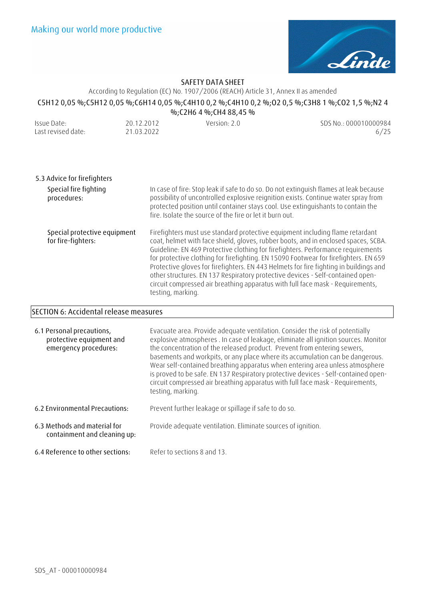

# According to Regulation (EC) No. 1907/2006 (REACH) Article 31, Annex II as amended

### **C5H12 0,05 %;C5H12 0,05 %;C6H14 0,05 %;C4H10 0,2 %;C4H10 0,2 %;O2 0,5 %;C3H8 1 %;CO2 1,5 %;N2 4 %;C2H6 4 %;CH4 88,45 %**

| Issue Date:        | 20.12.2012 | Version: 2.0 | SDS No.: 000010000984 |
|--------------------|------------|--------------|-----------------------|
| Last revised date: | 21.03.2022 |              | 6/25                  |

| 5.3 Advice for firefighters                        |                                                                                                                                                                                                                                                                                                                                                                                                                                                                                                                                                                                                                                   |
|----------------------------------------------------|-----------------------------------------------------------------------------------------------------------------------------------------------------------------------------------------------------------------------------------------------------------------------------------------------------------------------------------------------------------------------------------------------------------------------------------------------------------------------------------------------------------------------------------------------------------------------------------------------------------------------------------|
| Special fire fighting<br>procedures:               | In case of fire: Stop leak if safe to do so. Do not extinguish flames at leak because<br>possibility of uncontrolled explosive reignition exists. Continue water spray from<br>protected position until container stays cool. Use extinguishants to contain the<br>fire. Isolate the source of the fire or let it burn out.                                                                                                                                                                                                                                                                                                       |
| Special protective equipment<br>for fire-fighters: | Firefighters must use standard protective equipment including flame retardant<br>coat, helmet with face shield, gloves, rubber boots, and in enclosed spaces, SCBA.<br>Guideline: EN 469 Protective clothing for firefighters. Performance requirements<br>for protective clothing for firefighting. EN 15090 Footwear for firefighters. EN 659<br>Protective gloves for firefighters. EN 443 Helmets for fire fighting in buildings and<br>other structures. EN 137 Respiratory protective devices - Self-contained open-<br>circuit compressed air breathing apparatus with full face mask - Requirements,<br>testing, marking. |

# **SECTION 6: Accidental release measures**

| 6.1 Personal precautions,<br>protective equipment and<br>emergency procedures: | Evacuate area. Provide adequate ventilation. Consider the risk of potentially<br>explosive atmospheres . In case of leakage, eliminate all ignition sources. Monitor<br>the concentration of the released product. Prevent from entering sewers,<br>basements and workpits, or any place where its accumulation can be dangerous.<br>Wear self-contained breathing apparatus when entering area unless atmosphere<br>is proved to be safe. EN 137 Respiratory protective devices - Self-contained open-<br>circuit compressed air breathing apparatus with full face mask - Requirements,<br>testing, marking. |
|--------------------------------------------------------------------------------|----------------------------------------------------------------------------------------------------------------------------------------------------------------------------------------------------------------------------------------------------------------------------------------------------------------------------------------------------------------------------------------------------------------------------------------------------------------------------------------------------------------------------------------------------------------------------------------------------------------|
| 6.2 Environmental Precautions:                                                 | Prevent further leakage or spillage if safe to do so.                                                                                                                                                                                                                                                                                                                                                                                                                                                                                                                                                          |
| 6.3 Methods and material for<br>containment and cleaning up:                   | Provide adequate ventilation. Eliminate sources of ignition.                                                                                                                                                                                                                                                                                                                                                                                                                                                                                                                                                   |
| 6.4 Reference to other sections:                                               | Refer to sections 8 and 13.                                                                                                                                                                                                                                                                                                                                                                                                                                                                                                                                                                                    |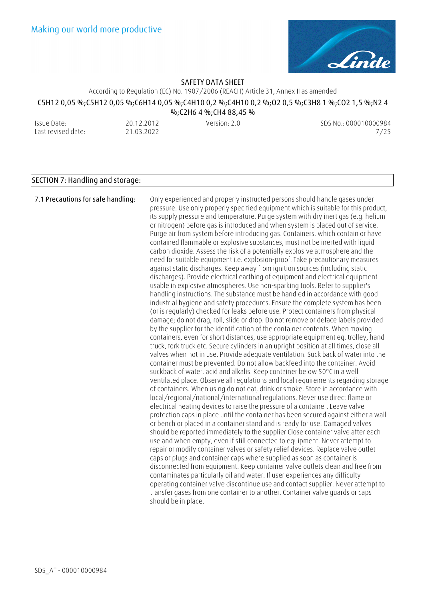

According to Regulation (EC) No. 1907/2006 (REACH) Article 31, Annex II as amended

# **C5H12 0,05 %;C5H12 0,05 %;C6H14 0,05 %;C4H10 0,2 %;C4H10 0,2 %;O2 0,5 %;C3H8 1 %;CO2 1,5 %;N2 4**

**%;C2H6 4 %;CH4 88,45 %** 

Issue Date: Last revised date: 20.12.2012 21.03.2022 Version: 2.0 SDS No.: 000010000984 7/25

## **SECTION 7: Handling and storage:**

**7.1 Precautions for safe handling:** Only experienced and properly instructed persons should handle gases under pressure. Use only properly specified equipment which is suitable for this product, its supply pressure and temperature. Purge system with dry inert gas (e.g. helium or nitrogen) before gas is introduced and when system is placed out of service. Purge air from system before introducing gas. Containers, which contain or have contained flammable or explosive substances, must not be inerted with liquid carbon dioxide. Assess the risk of a potentially explosive atmosphere and the need for suitable equipment i.e. explosion-proof. Take precautionary measures against static discharges. Keep away from ignition sources (including static discharges). Provide electrical earthing of equipment and electrical equipment usable in explosive atmospheres. Use non-sparking tools. Refer to supplier's handling instructions. The substance must be handled in accordance with good industrial hygiene and safety procedures. Ensure the complete system has been (or is regularly) checked for leaks before use. Protect containers from physical damage; do not drag, roll, slide or drop. Do not remove or deface labels provided by the supplier for the identification of the container contents. When moving containers, even for short distances, use appropriate equipment eg. trolley, hand truck, fork truck etc. Secure cylinders in an upright position at all times, close all valves when not in use. Provide adequate ventilation. Suck back of water into the container must be prevented. Do not allow backfeed into the container. Avoid suckback of water, acid and alkalis. Keep container below 50°C in a well ventilated place. Observe all regulations and local requirements regarding storage of containers. When using do not eat, drink or smoke. Store in accordance with local/regional/national/international regulations. Never use direct flame or electrical heating devices to raise the pressure of a container. Leave valve protection caps in place until the container has been secured against either a wall or bench or placed in a container stand and is ready for use. Damaged valves should be reported immediately to the supplier Close container valve after each use and when empty, even if still connected to equipment. Never attempt to repair or modify container valves or safety relief devices. Replace valve outlet caps or plugs and container caps where supplied as soon as container is disconnected from equipment. Keep container valve outlets clean and free from contaminates particularly oil and water. If user experiences any difficulty operating container valve discontinue use and contact supplier. Never attempt to transfer gases from one container to another. Container valve guards or caps should be in place.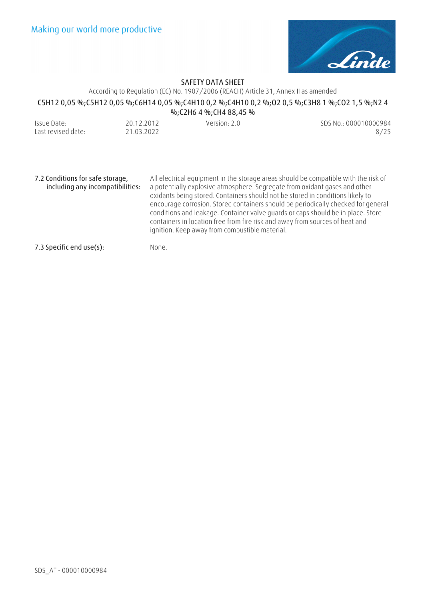

## According to Regulation (EC) No. 1907/2006 (REACH) Article 31, Annex II as amended **C5H12 0,05 %;C5H12 0,05 %;C6H14 0,05 %;C4H10 0,2 %;C4H10 0,2 %;O2 0,5 %;C3H8 1 %;CO2 1,5 %;N2 4 %;C2H6 4 %;CH4 88,45 %**

| Issue Date:        | 20.12.2012 | Version: 2.0 | SDS No.: 000010000984 |
|--------------------|------------|--------------|-----------------------|
| Last revised date: | 21.03.2022 |              | 8/25                  |

**7.2 Conditions for safe storage, including any incompatibilities:**  All electrical equipment in the storage areas should be compatible with the risk of a potentially explosive atmosphere. Segregate from oxidant gases and other oxidants being stored. Containers should not be stored in conditions likely to encourage corrosion. Stored containers should be periodically checked for general conditions and leakage. Container valve guards or caps should be in place. Store containers in location free from fire risk and away from sources of heat and ignition. Keep away from combustible material.

**7.3 Specific end use(s):** None.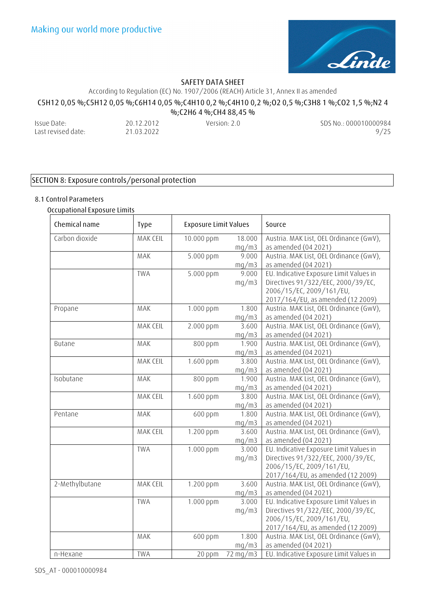

According to Regulation (EC) No. 1907/2006 (REACH) Article 31, Annex II as amended

## **C5H12 0,05 %;C5H12 0,05 %;C6H14 0,05 %;C4H10 0,2 %;C4H10 0,2 %;O2 0,5 %;C3H8 1 %;CO2 1,5 %;N2 4**

**%;C2H6 4 %;CH4 88,45 %** 

Issue Date: Last revised date: 20.12.2012 21.03.2022 Version: 2.0 SDS No.: 000010000984 9/25

## **SECTION 8: Exposure controls/personal protection**

# **8.1 Control Parameters**

### **Occupational Exposure Limits**

| Chemical name  | <b>Type</b> | <b>Exposure Limit Values</b> |                 | Source                                                                                                                                         |
|----------------|-------------|------------------------------|-----------------|------------------------------------------------------------------------------------------------------------------------------------------------|
| Carbon dioxide | MAK CEIL    | 10.000 ppm                   | 18.000<br>mg/m3 | Austria. MAK List, OEL Ordinance (GwV),<br>as amended (04 2021)                                                                                |
|                | MAK         | 5.000 ppm                    | 9.000<br>mg/m3  | Austria. MAK List, OEL Ordinance (GwV),<br>as amended (04 2021)                                                                                |
|                | <b>TWA</b>  | 5.000 ppm                    | 9.000<br>mq/m3  | EU. Indicative Exposure Limit Values in<br>Directives 91/322/EEC, 2000/39/EC,<br>2006/15/EC, 2009/161/EU,<br>2017/164/EU, as amended (12 2009) |
| Propane        | MAK         | 1.000 ppm                    | 1.800<br>mq/m3  | Austria. MAK List, OEL Ordinance (GwV),<br>as amended (04 2021)                                                                                |
|                | MAK CEIL    | 2.000 ppm                    | 3.600<br>mg/m3  | Austria. MAK List, OEL Ordinance (GwV),<br>as amended (04 2021)                                                                                |
| <b>Butane</b>  | MAK         | 800 ppm                      | 1.900<br>mq/m3  | Austria. MAK List, OEL Ordinance (GwV),<br>as amended (04 2021)                                                                                |
|                | MAK CEIL    | 1.600 ppm                    | 3.800<br>mq/m3  | Austria. MAK List, OEL Ordinance (GwV),<br>as amended (04 2021)                                                                                |
| Isobutane      | MAK         | 800 ppm                      | 1.900<br>mg/m3  | Austria. MAK List, OEL Ordinance (GwV),<br>as amended (04 2021)                                                                                |
|                | MAK CEIL    | 1.600 ppm                    | 3.800<br>mg/m3  | Austria. MAK List, OEL Ordinance (GwV),<br>as amended (04 2021)                                                                                |
| Pentane        | MAK         | 600 ppm                      | 1.800<br>mq/m3  | Austria. MAK List, OEL Ordinance (GwV),<br>as amended (04 2021)                                                                                |
|                | MAK CEIL    | 1.200 ppm                    | 3.600<br>mg/m3  | Austria. MAK List, OEL Ordinance (GwV),<br>as amended (04 2021)                                                                                |
|                | <b>TWA</b>  | 1.000 ppm                    | 3.000<br>mq/m3  | EU. Indicative Exposure Limit Values in<br>Directives 91/322/EEC, 2000/39/EC,<br>2006/15/EC, 2009/161/EU,<br>2017/164/EU, as amended (12 2009) |
| 2-Methylbutane | MAK CEIL    | 1.200 ppm                    | 3.600<br>mg/m3  | Austria. MAK List, OEL Ordinance (GwV),<br>as amended (04 2021)                                                                                |
|                | <b>TWA</b>  | 1.000 ppm                    | 3.000<br>mq/m3  | EU. Indicative Exposure Limit Values in<br>Directives 91/322/EEC, 2000/39/EC,<br>2006/15/EC, 2009/161/EU,<br>2017/164/EU, as amended (12 2009) |
|                | MAK         | 600 ppm                      | 1.800<br>mq/m3  | Austria. MAK List, OEL Ordinance (GwV),<br>as amended (04 2021)                                                                                |
| n-Hexane       | <b>TWA</b>  | 20 ppm                       | 72 mg/m3        | EU. Indicative Exposure Limit Values in                                                                                                        |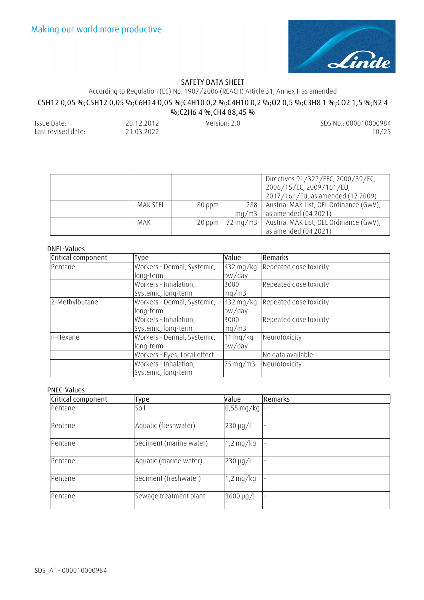

According to Regulation (EC) No. 1907/2006 (REACH) Article 31, Annex II as amended

# **C5H12 0,05 %;C5H12 0,05 %;C6H14 0,05 %;C4H10 0,2 %;C4H10 0,2 %;O2 0,5 %;C3H8 1 %;CO2 1,5 %;N2 4**

**%;C2H6 4 %;CH4 88,45 %** 

| Issue Date:        | 20.12.2012 | Version: 2.0 | SDS No.: 000010000984 |
|--------------------|------------|--------------|-----------------------|
| Last revised date: | 21.03.2022 |              | 10/25                 |

|          |        |       | Directives 91/322/EEC, 2000/39/EC,<br>2006/15/EC, 2009/161/EU,<br>2017/164/EU, as amended (12 2009) |
|----------|--------|-------|-----------------------------------------------------------------------------------------------------|
| MAK STEL | 80 ppm |       | 288   Austria. MAK List, OEL Ordinance (GwV),                                                       |
|          |        | ma/m3 | as amended $(04 2021)$                                                                              |
| MAK      |        |       | 20 ppm 72 mg/m3   Austria. MAK List, OEL Ordinance (GwV),                                           |
|          |        |       | as amended (04 2021)                                                                                |

### **DNEL-Values**

| Critical component | Type                         | Value                      | <b>Remarks</b>         |
|--------------------|------------------------------|----------------------------|------------------------|
| Pentane            | Workers - Dermal, Systemic,  | $432$ mg/kg                | Repeated dose toxicity |
|                    | long-term                    | bw/day                     |                        |
|                    | Workers - Inhalation,        | 3000                       | Repeated dose toxicity |
|                    | Systemic, long-term          | mq/m3                      |                        |
| 2-Methylbutane     | Workers - Dermal, Systemic,  | $432$ mg/kg                | Repeated dose toxicity |
|                    | long-term                    | bw/day                     |                        |
|                    | Workers - Inhalation,        | 3000                       | Repeated dose toxicity |
|                    | Systemic, long-term          | mq/m3                      |                        |
| n-Hexane           | Workers - Dermal, Systemic,  | $11$ mg/kg                 | Neurotoxicity          |
|                    | long-term                    | bw/day                     |                        |
|                    | Workers - Eyes, Local effect |                            | No data available      |
|                    | Workers - Inhalation,        | $75 \text{ mg}/\text{m}$ 3 | Neurotoxicity          |
|                    | Systemic, long-term          |                            |                        |

#### **PNEC-Values**

| Critical component | Type                    | Value                  | <b>Remarks</b> |
|--------------------|-------------------------|------------------------|----------------|
| Pentane            | Soil                    | $0,55 \text{ mg/kg}$   |                |
| Pentane            | Aquatic (freshwater)    | $230 \mu g/l$          |                |
| Pentane            | Sediment (marine water) | $1,2 \text{ mg/kg}$    |                |
| Pentane            | Aquatic (marine water)  | $230 \mu q/l$          |                |
| Pentane            | Sediment (freshwater)   | $1,2 \text{ mg/kg}$    |                |
| Pentane            | Sewage treatment plant  | $3600 \,\mathrm{µg/l}$ |                |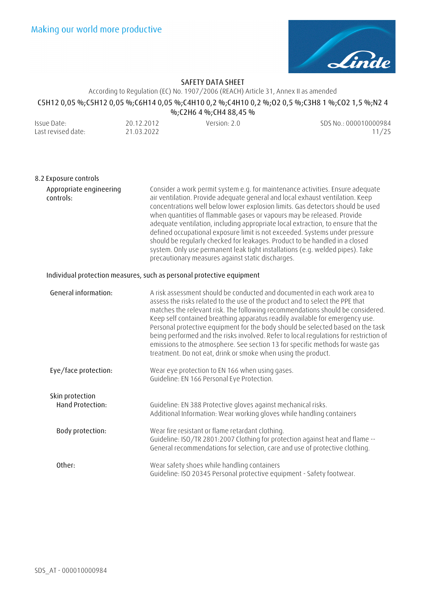

According to Regulation (EC) No. 1907/2006 (REACH) Article 31, Annex II as amended

# **C5H12 0,05 %;C5H12 0,05 %;C6H14 0,05 %;C4H10 0,2 %;C4H10 0,2 %;O2 0,5 %;C3H8 1 %;CO2 1,5 %;N2 4**

| %;C2H6 4 %;CH4 88,45 % |            |              |                       |
|------------------------|------------|--------------|-----------------------|
| Issue Date:            | 20.12.2012 | Version: 2.0 | SDS No.: 000010000984 |
| Last revised date:     | 21.03.2022 |              | 11/25                 |

| 8.2 Exposure controls                |                                                                                                                                                                                                                                                                                                                                                                                                                                                                                                                                                                                                                                                                                                                     |
|--------------------------------------|---------------------------------------------------------------------------------------------------------------------------------------------------------------------------------------------------------------------------------------------------------------------------------------------------------------------------------------------------------------------------------------------------------------------------------------------------------------------------------------------------------------------------------------------------------------------------------------------------------------------------------------------------------------------------------------------------------------------|
| Appropriate engineering<br>controls: | Consider a work permit system e.g. for maintenance activities. Ensure adequate<br>air ventilation. Provide adequate general and local exhaust ventilation. Keep<br>concentrations well below lower explosion limits. Gas detectors should be used<br>when quantities of flammable gases or vapours may be released. Provide<br>adequate ventilation, including appropriate local extraction, to ensure that the<br>defined occupational exposure limit is not exceeded. Systems under pressure<br>should be regularly checked for leakages. Product to be handled in a closed<br>system. Only use permanent leak tight installations (e.g. welded pipes). Take<br>precautionary measures against static discharges. |
|                                      | Individual protection measures, such as personal protective equipment                                                                                                                                                                                                                                                                                                                                                                                                                                                                                                                                                                                                                                               |
| General information:                 | A risk assessment should be conducted and documented in each work area to<br>assess the risks related to the use of the product and to select the PPE that<br>matches the relevant risk. The following recommendations should be considered.<br>Keep self contained breathing apparatus readily available for emergency use.<br>Personal protective equipment for the body should be selected based on the task<br>being performed and the risks involved. Refer to local regulations for restriction of<br>emissions to the atmosphere. See section 13 for specific methods for waste gas<br>treatment. Do not eat, drink or smoke when using the product.                                                         |
| Eye/face protection:                 | Wear eye protection to EN 166 when using gases.<br>Guideline: EN 166 Personal Eye Protection.                                                                                                                                                                                                                                                                                                                                                                                                                                                                                                                                                                                                                       |
| Skin protection<br>Hand Protection:  | Guideline: EN 388 Protective gloves against mechanical risks.<br>Additional Information: Wear working gloves while handling containers                                                                                                                                                                                                                                                                                                                                                                                                                                                                                                                                                                              |
| Body protection:                     | Wear fire resistant or flame retardant clothing.<br>Guideline: ISO/TR 2801:2007 Clothing for protection against heat and flame --<br>General recommendations for selection, care and use of protective clothing.                                                                                                                                                                                                                                                                                                                                                                                                                                                                                                    |
| Other:                               | Wear safety shoes while handling containers<br>Guideline: ISO 20345 Personal protective equipment - Safety footwear.                                                                                                                                                                                                                                                                                                                                                                                                                                                                                                                                                                                                |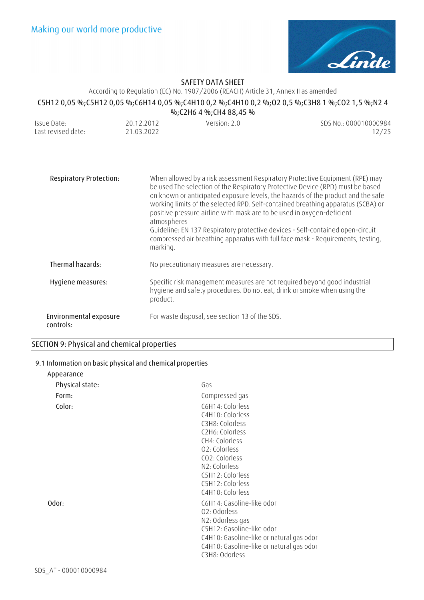

According to Regulation (EC) No. 1907/2006 (REACH) Article 31, Annex II as amended

# **C5H12 0,05 %;C5H12 0,05 %;C6H14 0,05 %;C4H10 0,2 %;C4H10 0,2 %;O2 0,5 %;C3H8 1 %;CO2 1,5 %;N2 4**

**%;C2H6 4 %;CH4 88,45 %** 

| Issue Date:        | 20.12.2012 | Version: 2.0 | SDS No.: 000010000984 |
|--------------------|------------|--------------|-----------------------|
| Last revised date: | 21.03.2022 |              | 12/25                 |

| <b>Respiratory Protection:</b>      | When allowed by a risk assessment Respiratory Protective Equipment (RPE) may<br>be used The selection of the Respiratory Protective Device (RPD) must be based<br>on known or anticipated exposure levels, the hazards of the product and the safe<br>working limits of the selected RPD. Self-contained breathing apparatus (SCBA) or<br>positive pressure airline with mask are to be used in oxygen-deficient<br>atmospheres<br>Guideline: EN 137 Respiratory protective devices - Self-contained open-circuit<br>compressed air breathing apparatus with full face mask - Requirements, testing,<br>marking. |
|-------------------------------------|------------------------------------------------------------------------------------------------------------------------------------------------------------------------------------------------------------------------------------------------------------------------------------------------------------------------------------------------------------------------------------------------------------------------------------------------------------------------------------------------------------------------------------------------------------------------------------------------------------------|
| Thermal hazards:                    | No precautionary measures are necessary.                                                                                                                                                                                                                                                                                                                                                                                                                                                                                                                                                                         |
| Hygiene measures:                   | Specific risk management measures are not required beyond good industrial<br>hygiene and safety procedures. Do not eat, drink or smoke when using the<br>product.                                                                                                                                                                                                                                                                                                                                                                                                                                                |
| Environmental exposure<br>controls: | For waste disposal, see section 13 of the SDS.                                                                                                                                                                                                                                                                                                                                                                                                                                                                                                                                                                   |

### **SECTION 9: Physical and chemical properties**

## **9.1 Information on basic physical and chemical properties**

| Physical state: | Gas                                                                                                                                                                                                          |
|-----------------|--------------------------------------------------------------------------------------------------------------------------------------------------------------------------------------------------------------|
| Form:           | Compressed gas                                                                                                                                                                                               |
| Color:          | C6H14: Colorless<br>C4H10: Colorless<br>C3H8: Colorless<br>C2H6: Colorless<br>CH4: Colorless<br>02: Colorless<br>CO2: Colorless<br>N2: Colorless<br>C5H12: Colorless<br>C5H12: Colorless<br>C4H10: Colorless |
| Odor:           | C6H14: Gasoline-like odor<br>02: Odorless<br>N2: Odorless gas<br>C5H12: Gasoline-like odor<br>C4H10: Gasoline-like or natural gas odor<br>C4H10: Gasoline-like or natural gas odor<br>C3H8: Odorless         |

**Appearance**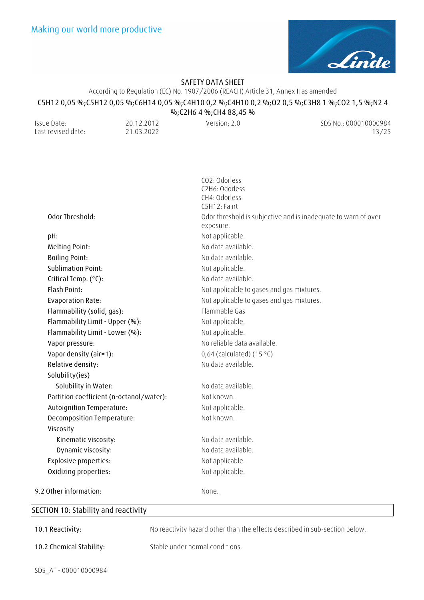

According to Regulation (EC) No. 1907/2006 (REACH) Article 31, Annex II as amended

### **C5H12 0,05 %;C5H12 0,05 %;C6H14 0,05 %;C4H10 0,2 %;C4H10 0,2 %;O2 0,5 %;C3H8 1 %;CO2 1,5 %;N2 4**

**%;C2H6 4 %;CH4 88,45 %**  Issue Date: Last revised date: 20.12.2012 21.03.2022 Version: 2.0 SDS No.: 000010000984 13/25

|                                            | CO2: Odorless<br>C2H6: Odorless                                |
|--------------------------------------------|----------------------------------------------------------------|
|                                            | CH4: Odorless                                                  |
|                                            | C5H12: Faint                                                   |
| Odor Threshold:                            | Odor threshold is subjective and is inadequate to warn of over |
|                                            | exposure.                                                      |
| pH:                                        | Not applicable.                                                |
| Melting Point:                             | No data available.                                             |
| <b>Boiling Point:</b>                      | No data available.                                             |
| <b>Sublimation Point:</b>                  | Not applicable.                                                |
| Critical Temp. (°C):                       | No data available.                                             |
| Flash Point:                               | Not applicable to gases and gas mixtures.                      |
| <b>Evaporation Rate:</b>                   | Not applicable to gases and gas mixtures.                      |
| Flammability (solid, gas):                 | Flammable Gas                                                  |
| Flammability Limit - Upper (%):            | Not applicable.                                                |
| Flammability Limit - Lower (%):            | Not applicable.                                                |
| Vapor pressure:                            | No reliable data available.                                    |
| Vapor density (air=1):                     | 0,64 (calculated) $(15 °C)$                                    |
| Relative density:                          | No data available.                                             |
| Solubility(ies)                            |                                                                |
| Solubility in Water:                       | No data available.                                             |
| Partition coefficient (n-octanol/water):   | Not known.                                                     |
| Autoignition Temperature:                  | Not applicable.                                                |
| Decomposition Temperature:                 | Not known.                                                     |
| Viscosity                                  |                                                                |
| Kinematic viscosity:                       | No data available.                                             |
| Dynamic viscosity:                         | No data available.                                             |
| <b>Explosive properties:</b>               | Not applicable.                                                |
| Oxidizing properties:                      | Not applicable.                                                |
| 9.2 Other information:                     | None.                                                          |
| <b>ECTION 10: Stability and reactivity</b> |                                                                |
|                                            |                                                                |

### **SECTION 10: Stability and reactivity**

**10.1 Reactivity:** No reactivity hazard other than the effects described in sub-section below.

**10.2 Chemical Stability:** Stable under normal conditions.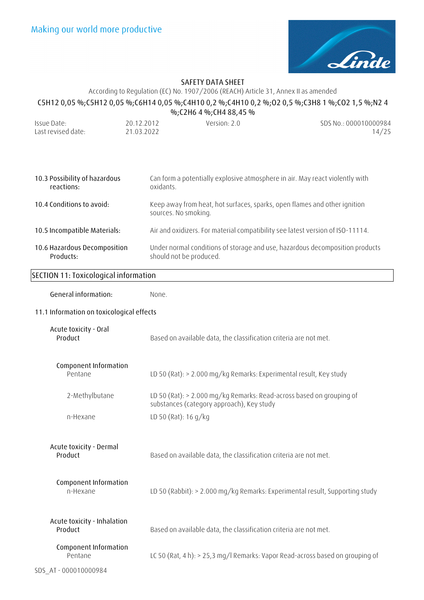

# According to Regulation (EC) No. 1907/2006 (REACH) Article 31, Annex II as amended **C5H12 0,05 %;C5H12 0,05 %;C6H14 0,05 %;C4H10 0,2 %;C4H10 0,2 %;O2 0,5 %;C3H8 1 %;CO2 1,5 %;N2 4**

| %;C2H6 4 %;CH4 88,45 % |            |              |                       |
|------------------------|------------|--------------|-----------------------|
| Issue Date:            | 20.12.2012 | Version: 2.0 | SDS No.: 000010000984 |
| Last revised date: .   | 21.03.2022 |              | 14/25                 |

| 10.3 Possibility of hazardous | Can form a potentially explosive atmosphere in air. May react violently with                      |
|-------------------------------|---------------------------------------------------------------------------------------------------|
| reactions:                    | oxidants                                                                                          |
| 10.4 Conditions to avoid:     | Keep away from heat, hot surfaces, sparks, open flames and other ignition<br>sources. No smoking. |
| 10.5 Incompatible Materials:  | Air and oxidizers. For material compatibility see latest version of ISO-11114.                    |
| 10.6 Hazardous Decomposition  | Under normal conditions of storage and use, hazardous decomposition products                      |
| Products:                     | should not be produced.                                                                           |

# **SECTION 11: Toxicological information**

| General information:                                                                                  | None.                                                                                                             |
|-------------------------------------------------------------------------------------------------------|-------------------------------------------------------------------------------------------------------------------|
| 11.1 Information on toxicological effects                                                             |                                                                                                                   |
| Acute toxicity - Oral<br>Product<br>Based on available data, the classification criteria are not met. |                                                                                                                   |
| Component Information<br>Pentane                                                                      | LD 50 (Rat): > 2.000 mg/kg Remarks: Experimental result, Key study                                                |
| 2-Methylbutane                                                                                        | LD 50 (Rat): > 2.000 mg/kg Remarks: Read-across based on grouping of<br>substances (category approach), Key study |
| n-Hexane                                                                                              | LD 50 (Rat): 16 $g/kg$                                                                                            |
| Acute toxicity - Dermal<br>Product                                                                    | Based on available data, the classification criteria are not met.                                                 |
| Component Information<br>n-Hexane                                                                     | LD 50 (Rabbit): > 2.000 mg/kg Remarks: Experimental result, Supporting study                                      |
| Acute toxicity - Inhalation<br>Product                                                                | Based on available data, the classification criteria are not met.                                                 |
| Component Information<br>Pentane                                                                      | LC 50 (Rat, 4 h): > 25,3 mg/l Remarks: Vapor Read-across based on grouping of                                     |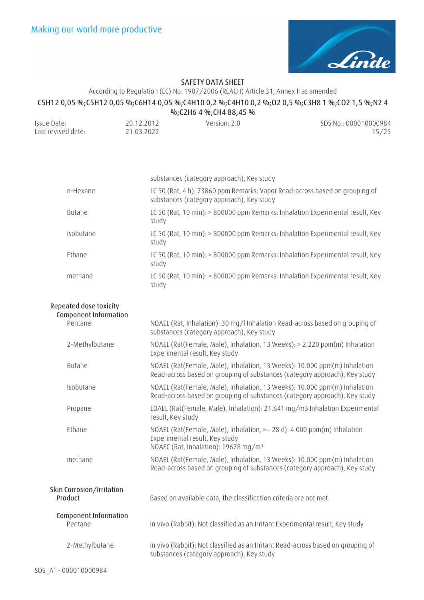

# According to Regulation (EC) No. 1907/2006 (REACH) Article 31, Annex II as amended

# **C5H12 0,05 %;C5H12 0,05 %;C6H14 0,05 %;C4H10 0,2 %;C4H10 0,2 %;O2 0,5 %;C3H8 1 %;CO2 1,5 %;N2 4 %;C2H6 4 %;CH4 88,45 %**

| Issue Date:        | 20.12.2012 | Version: 2.0 | SDS No.: 000010000984 |
|--------------------|------------|--------------|-----------------------|
| Last revised date: | 21.03.2022 |              | 15/25                 |

|                                                            | substances (category approach), Key study                                                                                                                     |
|------------------------------------------------------------|---------------------------------------------------------------------------------------------------------------------------------------------------------------|
| n-Hexane                                                   | LC 50 (Rat, 4 h): 73860 ppm Remarks: Vapor Read-across based on grouping of<br>substances (category approach), Key study                                      |
| Butane                                                     | LC 50 (Rat, 10 min): > 800000 ppm Remarks: Inhalation Experimental result, Key<br>study                                                                       |
| Isobutane                                                  | LC 50 (Rat, 10 min): > 800000 ppm Remarks: Inhalation Experimental result, Key<br>study                                                                       |
| Ethane                                                     | LC 50 (Rat, 10 min): > 800000 ppm Remarks: Inhalation Experimental result, Key<br>study                                                                       |
| methane                                                    | LC 50 (Rat, 10 min): > 800000 ppm Remarks: Inhalation Experimental result, Key<br>study                                                                       |
| Repeated dose toxicity<br>Component Information<br>Pentane | NOAEL (Rat, Inhalation): 30 mg/l Inhalation Read-across based on grouping of                                                                                  |
|                                                            | substances (category approach), Key study                                                                                                                     |
| 2-Methylbutane                                             | NOAEL (Rat(Female, Male), Inhalation, 13 Weeks): > 2.220 ppm(m) Inhalation<br>Experimental result, Key study                                                  |
| <b>Butane</b>                                              | NOAEL (Rat(Female, Male), Inhalation, 13 Weeks): 10.000 ppm(m) Inhalation<br>Read-across based on grouping of substances (category approach), Key study       |
| Isobutane                                                  | NOAEL (Rat(Female, Male), Inhalation, 13 Weeks): 10.000 ppm(m) Inhalation<br>Read-across based on grouping of substances (category approach), Key study       |
| Propane                                                    | LOAEL (Rat(Female, Male), Inhalation): 21.641 mg/m3 Inhalation Experimental<br>result, Key study                                                              |
| Ethane                                                     | NOAEL (Rat(Female, Male), Inhalation, >= 28 d): 4.000 ppm(m) Inhalation<br>Experimental result, Key study<br>NOAEC (Rat, Inhalation): 19678 mg/m <sup>3</sup> |
| methane                                                    | NOAEL (Rat(Female, Male), Inhalation, 13 Weeks): 10.000 ppm(m) Inhalation<br>Read-across based on grouping of substances (category approach), Key study       |
| Skin Corrosion/Irritation<br>Product                       | Based on available data, the classification criteria are not met.                                                                                             |
| Component Information<br>Pentane                           | in vivo (Rabbit): Not classified as an Irritant Experimental result, Key study                                                                                |
| 2-Methylbutane                                             | in vivo (Rabbit): Not classified as an Irritant Read-across based on grouping of<br>substances (category approach), Key study                                 |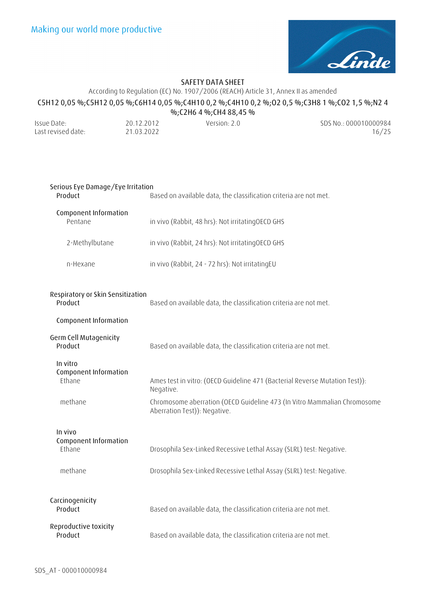

# According to Regulation (EC) No. 1907/2006 (REACH) Article 31, Annex II as amended **C5H12 0,05 %;C5H12 0,05 %;C6H14 0,05 %;C4H10 0,2 %;C4H10 0,2 %;O2 0,5 %;C3H8 1 %;CO2 1,5 %;N2 4**

|                    |            | %;C2H6 4 %;CH4 88,45 % |                       |
|--------------------|------------|------------------------|-----------------------|
| Issue Date:        | 20.12.2012 | Version: 2.0           | SDS No.: 000010000984 |
| Last revised date: | 21.03.2022 |                        | 16/25                 |

| Serious Eye Damage/Eye Irritation<br>Product                          | Based on available data, the classification criteria are not met.                                                                                                    |  |
|-----------------------------------------------------------------------|----------------------------------------------------------------------------------------------------------------------------------------------------------------------|--|
| Component Information<br>Pentane                                      | in vivo (Rabbit, 48 hrs): Not irritatingOECD GHS                                                                                                                     |  |
| 2-Methylbutane                                                        | in vivo (Rabbit, 24 hrs): Not irritatingOECD GHS                                                                                                                     |  |
| n-Hexane                                                              | in vivo (Rabbit, 24 - 72 hrs): Not irritatingEU                                                                                                                      |  |
| Respiratory or Skin Sensitization<br>Product<br>Component Information | Based on available data, the classification criteria are not met.                                                                                                    |  |
| Germ Cell Mutagenicity<br>Product                                     | Based on available data, the classification criteria are not met.                                                                                                    |  |
| In vitro<br>Component Information<br>Ethane<br>methane                | Ames test in vitro: (OECD Guideline 471 (Bacterial Reverse Mutation Test)):<br>Negative.<br>Chromosome aberration (OECD Guideline 473 (In Vitro Mammalian Chromosome |  |
|                                                                       | Aberration Test)): Negative.                                                                                                                                         |  |
| In vivo<br>Component Information<br>Ethane                            | Drosophila Sex-Linked Recessive Lethal Assay (SLRL) test: Negative.                                                                                                  |  |
| methane                                                               | Drosophila Sex-Linked Recessive Lethal Assay (SLRL) test: Negative.                                                                                                  |  |
| Carcinogenicity<br>Product                                            | Based on available data, the classification criteria are not met.                                                                                                    |  |
| Reproductive toxicity<br>Product                                      | Based on available data, the classification criteria are not met.                                                                                                    |  |
|                                                                       |                                                                                                                                                                      |  |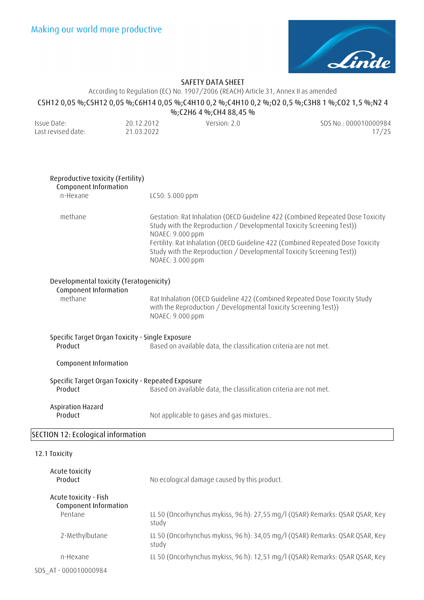

According to Regulation (EC) No. 1907/2006 (REACH) Article 31, Annex II as amended

### **C5H12 0,05 %;C5H12 0,05 %;C6H14 0,05 %;C4H10 0,2 %;C4H10 0,2 %;O2 0,5 %;C3H8 1 %;CO2 1,5 %;N2 4**

**%;C2H6 4 %;CH4 88,45 %**  Issue Date: Last revised date: 20.12.2012 21.03.2022 Version: 2.0 SDS No.: 000010000984 17/25 **Reproductive toxicity (Fertility) Component Information**  n-Hexane LC50: 5.000 ppm methane Gestation: Rat Inhalation (OECD Guideline 422 (Combined Repeated Dose Toxicity Study with the Reproduction / Developmental Toxicity Screening Test)) NOAEC: 9.000 ppm Fertility: Rat Inhalation (OECD Guideline 422 (Combined Repeated Dose Toxicity Study with the Reproduction / Developmental Toxicity Screening Test)) NOAEC: 3.000 ppm **Developmental toxicity (Teratogenicity) Component Information**  methane Rat Inhalation (OECD Guideline 422 (Combined Repeated Dose Toxicity Study with the Reproduction / Developmental Toxicity Screening Test)) NOAEC: 9.000 ppm **Specific Target Organ Toxicity - Single Exposure Product** Based on available data, the classification criteria are not met. **Component Information Specific Target Organ Toxicity - Repeated Exposure Product** Based on available data, the classification criteria are not met. **Aspiration Hazard Product** Not applicable to gases and gas mixtures.. **SECTION 12: Ecological information**

#### **12.1 Toxicity**

| Acute toxicity<br>Product                                 | No ecological damage caused by this product.                                          |
|-----------------------------------------------------------|---------------------------------------------------------------------------------------|
| Acute toxicity - Fish<br>Component Information<br>Pentane | LL 50 (Oncorhynchus mykiss, 96 h): 27,55 mg/l (QSAR) Remarks: QSAR QSAR, Key<br>study |
| 2-Methylbutane                                            | LL 50 (Oncorhynchus mykiss, 96 h): 34,05 mg/l (QSAR) Remarks: QSAR QSAR, Key<br>study |
| n-Hexane                                                  | LL 50 (Oncorhynchus mykiss, 96 h): 12,51 mg/l (QSAR) Remarks: QSAR QSAR, Key          |
| SDS AT-000010000984                                       |                                                                                       |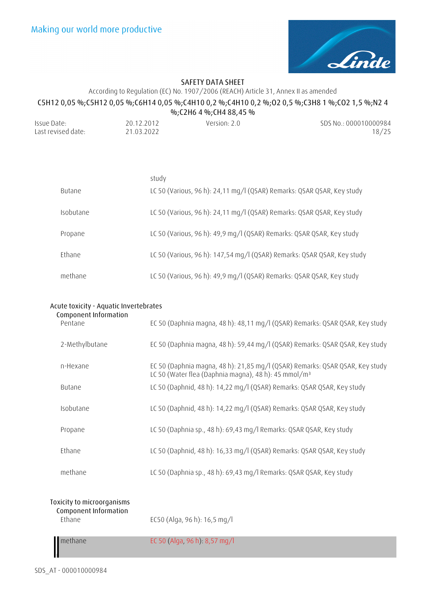

# According to Regulation (EC) No. 1907/2006 (REACH) Article 31, Annex II as amended **C5H12 0,05 %;C5H12 0,05 %;C6H14 0,05 %;C4H10 0,2 %;C4H10 0,2 %;O2 0,5 %;C3H8 1 %;CO2 1,5 %;N2 4 %;C2H6 4 %;CH4 88,45 %**

| Issue Date:        | 20.12.2012 | Version: $2.0$ | SDS No.: 000010000984 |
|--------------------|------------|----------------|-----------------------|
| Last revised date: | 21.03.2022 |                | 18/25                 |

|               | study                                                                   |
|---------------|-------------------------------------------------------------------------|
| <b>Butane</b> | LC 50 (Various, 96 h): 24,11 mg/l (QSAR) Remarks: QSAR QSAR, Key study  |
| Isobutane     | LC 50 (Various, 96 h): 24,11 mg/l (QSAR) Remarks: QSAR QSAR, Key study  |
| Propane       | LC 50 (Various, 96 h): 49,9 mg/l (QSAR) Remarks: QSAR QSAR, Key study   |
| Ethane        | LC 50 (Various, 96 h): 147,54 mg/l (QSAR) Remarks: QSAR QSAR, Key study |
| methane       | LC 50 (Various, 96 h): 49,9 mg/l (QSAR) Remarks: QSAR QSAR, Key study   |

| Acute toxicity - Aquatic Invertebrates |                                                                                                                                                  |  |
|----------------------------------------|--------------------------------------------------------------------------------------------------------------------------------------------------|--|
| Component Information<br>Pentane       | EC 50 (Daphnia magna, 48 h): 48,11 mg/l (QSAR) Remarks: QSAR QSAR, Key study                                                                     |  |
| 2-Methylbutane                         | EC 50 (Daphnia magna, 48 h): 59,44 mg/l (QSAR) Remarks: QSAR QSAR, Key study                                                                     |  |
| n-Hexane                               | EC 50 (Daphnia magna, 48 h): 21,85 mg/l (QSAR) Remarks: QSAR QSAR, Key study<br>LC 50 (Water flea (Daphnia magna), 48 h): 45 mmol/m <sup>3</sup> |  |
| <b>Butane</b>                          | LC 50 (Daphnid, 48 h): 14,22 mg/l (QSAR) Remarks: QSAR QSAR, Key study                                                                           |  |
| Isobutane                              | LC 50 (Daphnid, 48 h): 14,22 mg/l (QSAR) Remarks: QSAR QSAR, Key study                                                                           |  |
| Propane                                | LC 50 (Daphnia sp., 48 h): 69,43 mg/l Remarks: QSAR QSAR, Key study                                                                              |  |
| Ethane                                 | LC 50 (Daphnid, 48 h): 16,33 mg/l (QSAR) Remarks: QSAR QSAR, Key study                                                                           |  |
| methane                                | LC 50 (Daphnia sp., 48 h): 69,43 mg/l Remarks: QSAR QSAR, Key study                                                                              |  |

# **Toxicity to microorganisms Component Information**

EC50 (Alga, 96 h): 16,5 mg/l

methane EC 50 (Alga, 96 h): 8,57 mg/l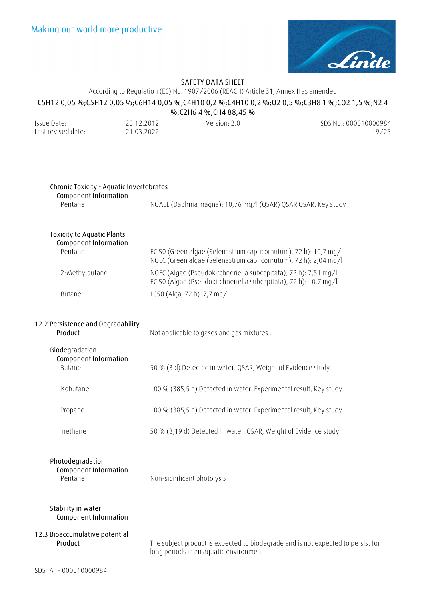

### According to Regulation (EC) No. 1907/2006 (REACH) Article 31, Annex II as amended

### **C5H12 0,05 %;C5H12 0,05 %;C6H14 0,05 %;C4H10 0,2 %;C4H10 0,2 %;O2 0,5 %;C3H8 1 %;CO2 1,5 %;N2 4**

|                                                                              |                          | %; C2H6 4 %; CH4 88, 45 %                                                                                                                                                                              |                                                                                  |
|------------------------------------------------------------------------------|--------------------------|--------------------------------------------------------------------------------------------------------------------------------------------------------------------------------------------------------|----------------------------------------------------------------------------------|
| Issue Date:<br>Last revised date:                                            | 20.12.2012<br>21.03.2022 | Version: 2.0                                                                                                                                                                                           | SDS No.: 000010000984<br>19/25                                                   |
| Chronic Toxicity - Aquatic Invertebrates<br>Component Information<br>Pentane |                          | NOAEL (Daphnia magna): 10,76 mg/l (QSAR) QSAR QSAR, Key study                                                                                                                                          |                                                                                  |
| <b>Toxicity to Aquatic Plants</b><br>Component Information<br>Pentane        |                          | EC 50 (Green algae (Selenastrum capricornutum), 72 h): 10,7 mg/l                                                                                                                                       |                                                                                  |
| 2-Methylbutane                                                               |                          | NOEC (Green algae (Selenastrum capricornutum), 72 h): 2,04 mg/l<br>NOEC (Algae (Pseudokirchneriella subcapitata), 72 h): 7,51 mg/l<br>EC 50 (Algae (Pseudokirchneriella subcapitata), 72 h): 10,7 mg/l |                                                                                  |
| Butane                                                                       |                          | LC50 (Alga, 72 h): 7,7 mg/l                                                                                                                                                                            |                                                                                  |
| 12.2 Persistence and Degradability<br>Product                                |                          | Not applicable to gases and gas mixtures                                                                                                                                                               |                                                                                  |
| Biodegradation<br>Component Information<br><b>Butane</b>                     |                          | 50 % (3 d) Detected in water. QSAR, Weight of Evidence study                                                                                                                                           |                                                                                  |
| Isobutane                                                                    |                          | 100 % (385,5 h) Detected in water. Experimental result, Key study                                                                                                                                      |                                                                                  |
| Propane                                                                      |                          | 100 % (385,5 h) Detected in water. Experimental result, Key study                                                                                                                                      |                                                                                  |
| methane                                                                      |                          | 50 % (3,19 d) Detected in water. QSAR, Weight of Evidence study                                                                                                                                        |                                                                                  |
| Photodegradation<br>Component Information<br>Pentane                         |                          | Non-significant photolysis                                                                                                                                                                             |                                                                                  |
| Stability in water<br>Component Information                                  |                          |                                                                                                                                                                                                        |                                                                                  |
| 12.3 Bioaccumulative potential<br>Product                                    |                          |                                                                                                                                                                                                        | The subject product is expected to biodegrade and is not expected to persist for |

long periods in an aquatic environment.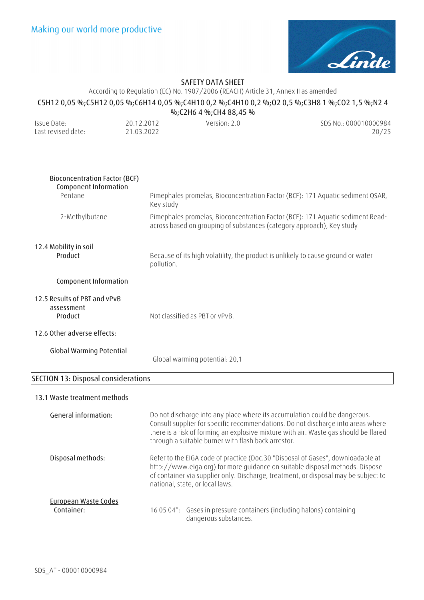

According to Regulation (EC) No. 1907/2006 (REACH) Article 31, Annex II as amended

## **C5H12 0,05 %;C5H12 0,05 %;C6H14 0,05 %;C4H10 0,2 %;C4H10 0,2 %;O2 0,5 %;C3H8 1 %;CO2 1,5 %;N2 4**

| %;C2H6 4 %;CH4 88,45 % |            |              |                       |
|------------------------|------------|--------------|-----------------------|
| Issue Date:            | 20.12.2012 | Version: 2.0 | SDS No.: 000010000984 |
| Last revised date:     | 21.03.2022 |              | 20/25                 |

| <b>Bioconcentration Factor (BCF)</b><br>Component Information |                                                                                                                                                                                                                                                                                                               |
|---------------------------------------------------------------|---------------------------------------------------------------------------------------------------------------------------------------------------------------------------------------------------------------------------------------------------------------------------------------------------------------|
| Pentane                                                       | Pimephales promelas, Bioconcentration Factor (BCF): 171 Aquatic sediment QSAR,<br>Key study                                                                                                                                                                                                                   |
| 2-Methylbutane                                                | Pimephales promelas, Bioconcentration Factor (BCF): 171 Aquatic sediment Read-<br>across based on grouping of substances (category approach), Key study                                                                                                                                                       |
| 12.4 Mobility in soil                                         |                                                                                                                                                                                                                                                                                                               |
| Product                                                       | Because of its high volatility, the product is unlikely to cause ground or water<br>pollution.                                                                                                                                                                                                                |
| Component Information                                         |                                                                                                                                                                                                                                                                                                               |
| 12.5 Results of PBT and vPvB<br>assessment<br>Product         | Not classified as PBT or vPvB.                                                                                                                                                                                                                                                                                |
| 12.6 Other adverse effects:                                   |                                                                                                                                                                                                                                                                                                               |
| <b>Global Warming Potential</b>                               | Global warming potential: 20,1                                                                                                                                                                                                                                                                                |
| <b>SECTION 13: Disposal considerations</b>                    |                                                                                                                                                                                                                                                                                                               |
| 13.1 Waste treatment methods                                  |                                                                                                                                                                                                                                                                                                               |
| General information:                                          | Do not discharge into any place where its accumulation could be dangerous.<br>Consult supplier for specific recommendations. Do not discharge into areas where<br>there is a risk of forming an explosive mixture with air. Waste gas should be flared<br>through a suitable burner with flash back arrestor. |
| Disposal methods:                                             | Refer to the EIGA code of practice (Doc.30 "Disposal of Gases", downloadable at<br>http://www.eiga.org) for more guidance on suitable disposal methods. Dispose<br>of container via supplier only. Discharge, treatment, or disposal may be subject to<br>national, state, or local laws.                     |

### **European Waste Codes Container:** 16 05 04\*: Gases in pressure containers (including halons) containing dangerous substances.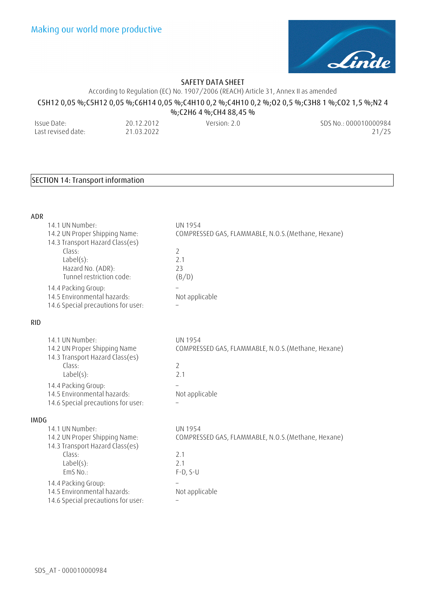

According to Regulation (EC) No. 1907/2006 (REACH) Article 31, Annex II as amended

## **C5H12 0,05 %;C5H12 0,05 %;C6H14 0,05 %;C4H10 0,2 %;C4H10 0,2 %;O2 0,5 %;C3H8 1 %;CO2 1,5 %;N2 4**

**%;C2H6 4 %;CH4 88,45 %**  Issue Date: Last revised date: 20.12.2012 21.03.2022 Version: 2.0 SDS No.: 000010000984 21/25

# **SECTION 14: Transport information**

| <b>ADR</b>  |                                                                                                                                     |                                                                                                   |
|-------------|-------------------------------------------------------------------------------------------------------------------------------------|---------------------------------------------------------------------------------------------------|
|             | 14.1 UN Number:<br>14.2 UN Proper Shipping Name:<br>14.3 Transport Hazard Class(es)                                                 | <b>UN 1954</b><br>COMPRESSED GAS, FLAMMABLE, N.O.S. (Methane, Hexane)                             |
|             | Class:<br>$Label(s)$ :<br>Hazard No. (ADR):<br>Tunnel restriction code:                                                             | $\overline{2}$<br>2.1<br>23<br>(B/D)                                                              |
|             | 14.4 Packing Group:<br>14.5 Environmental hazards:<br>14.6 Special precautions for user:                                            | Not applicable                                                                                    |
| <b>RID</b>  |                                                                                                                                     |                                                                                                   |
|             | 14.1 UN Number:<br>14.2 UN Proper Shipping Name<br>14.3 Transport Hazard Class(es)<br>Class:<br>$Label(s)$ :<br>14.4 Packing Group: | <b>UN 1954</b><br>COMPRESSED GAS, FLAMMABLE, N.O.S. (Methane, Hexane)<br>$\overline{2}$<br>2.1    |
|             | 14.5 Environmental hazards:<br>14.6 Special precautions for user:                                                                   | Not applicable                                                                                    |
| <b>IMDG</b> |                                                                                                                                     |                                                                                                   |
|             | 14.1 UN Number:<br>14.2 UN Proper Shipping Name:<br>14.3 Transport Hazard Class(es)<br>Class:<br>$Label(s)$ :<br>EmS No.:           | <b>UN 1954</b><br>COMPRESSED GAS, FLAMMABLE, N.O.S. (Methane, Hexane)<br>2.1<br>2.1<br>$F-D, S-U$ |
|             | 14.4 Packing Group:<br>14.5 Environmental hazards:<br>14.6 Special precautions for user:                                            | Not applicable<br>$\qquad \qquad -$                                                               |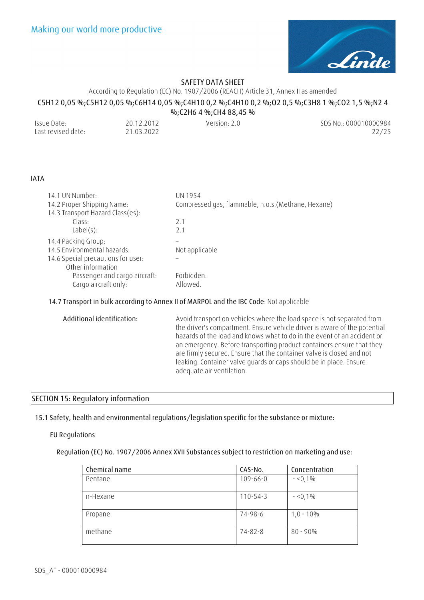

According to Regulation (EC) No. 1907/2006 (REACH) Article 31, Annex II as amended

# **C5H12 0,05 %;C5H12 0,05 %;C6H14 0,05 %;C4H10 0,2 %;C4H10 0,2 %;O2 0,5 %;C3H8 1 %;CO2 1,5 %;N2 4**

**%;C2H6 4 %;CH4 88,45 %**  Issue Date: Last revised date: 20.12.2012 21.03.2022 Version: 2.0 SDS No.: 000010000984 22/25

### **IATA**

| 14.1 UN Number:                                       | UN 1954                                             |
|-------------------------------------------------------|-----------------------------------------------------|
| 14.2 Proper Shipping Name:                            | Compressed gas, flammable, n.o.s. (Methane, Hexane) |
| 14.3 Transport Hazard Class(es):                      |                                                     |
| Class:                                                | 2.1                                                 |
| Label(s):                                             | 2.1                                                 |
| 14.4 Packing Group:                                   |                                                     |
| 14.5 Environmental hazards:                           | Not applicable                                      |
| 14.6 Special precautions for user:                    |                                                     |
| Other information                                     |                                                     |
| Passenger and cargo aircraft:<br>Cargo aircraft only: | Forbidden.<br>Allowed.                              |
|                                                       |                                                     |

### **14.7 Transport in bulk according to Annex II of MARPOL and the IBC Code**: Not applicable

| are firmly secured. Ensure that the container valve is closed and not<br>leaking. Container valve quards or caps should be in place. Ensure<br>adequate air ventilation. | Additional identification: | Avoid transport on vehicles where the load space is not separated from<br>the driver's compartment. Ensure vehicle driver is aware of the potential<br>hazards of the load and knows what to do in the event of an accident or<br>an emergency. Before transporting product containers ensure that they |
|--------------------------------------------------------------------------------------------------------------------------------------------------------------------------|----------------------------|---------------------------------------------------------------------------------------------------------------------------------------------------------------------------------------------------------------------------------------------------------------------------------------------------------|
|--------------------------------------------------------------------------------------------------------------------------------------------------------------------------|----------------------------|---------------------------------------------------------------------------------------------------------------------------------------------------------------------------------------------------------------------------------------------------------------------------------------------------------|

### **SECTION 15: Regulatory information**

**15.1 Safety, health and environmental regulations/legislation specific for the substance or mixture:**

### **EU Regulations**

### **Regulation (EC) No. 1907/2006 Annex XVII Substances subject to restriction on marketing and use:**

| Chemical name | CAS-No.        | Concentration |
|---------------|----------------|---------------|
| Pentane       | $109 - 66 - 0$ | $- 0,1\%$     |
|               |                |               |
| n-Hexane      | $110 - 54 - 3$ | $-50,1\%$     |
|               |                |               |
| Propane       | 74-98-6        | $1,0 - 10\%$  |
|               |                |               |
| methane       | 74-82-8        | $80 - 90\%$   |
|               |                |               |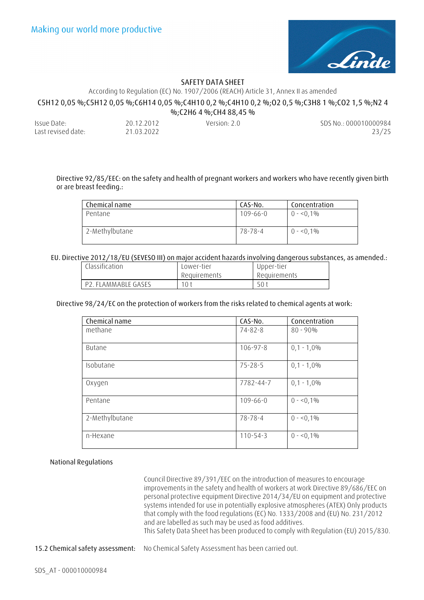

### According to Regulation (EC) No. 1907/2006 (REACH) Article 31, Annex II as amended

# **C5H12 0,05 %;C5H12 0,05 %;C6H14 0,05 %;C4H10 0,2 %;C4H10 0,2 %;O2 0,5 %;C3H8 1 %;CO2 1,5 %;N2 4**

| %;C2H6 4 %;CH4 88,45 % |            |              |                       |
|------------------------|------------|--------------|-----------------------|
| Issue Date:            | 20.12.2012 | Version: 2.0 | SDS No.: 000010000984 |
| Last revised date:     | 21.03.2022 |              | 23/25                 |

### **Directive 92/85/EEC: on the safety and health of pregnant workers and workers who have recently given birth or are breast feeding.:**

| Chemical name  | CAS-No.  | Concentration |
|----------------|----------|---------------|
| Pentane        | 109-66-0 | $0 - 50.1\%$  |
| 2-Methylbutane | 78-78-4  | $0 - 50,1\%$  |

### **EU. Directive 2012/18/EU (SEVESO III) on major accident hazards involving dangerous substances, as amended.:**

| Classification      | Lower-tier   | Upper-tier   |
|---------------------|--------------|--------------|
|                     | Requirements | Requirements |
| P2. FLAMMABLE GASES | 10 t         | 50           |

### **Directive 98/24/EC on the protection of workers from the risks related to chemical agents at work:**

| Chemical name  | CAS-No.        | Concentration |
|----------------|----------------|---------------|
| methane        | 74-82-8        | $80 - 90\%$   |
| <b>Butane</b>  | 106-97-8       | $0,1 - 1,0%$  |
| Isobutane      | $75 - 28 - 5$  | $0,1 - 1,0%$  |
| Oxygen         | 7782-44-7      | $0,1 - 1,0%$  |
| Pentane        | $109 - 66 - 0$ | $0 - 0.1\%$   |
| 2-Methylbutane | $78 - 78 - 4$  | $0 - 0.1\%$   |
| n-Hexane       | $110 - 54 - 3$ | $0 - 0.1\%$   |

### **National Regulations**

Council Directive 89/391/EEC on the introduction of measures to encourage improvements in the safety and health of workers at work Directive 89/686/EEC on personal protective equipment Directive 2014/34/EU on equipment and protective systems intended for use in potentially explosive atmospheres (ATEX) Only products that comply with the food regulations (EC) No. 1333/2008 and (EU) No. 231/2012 and are labelled as such may be used as food additives. This Safety Data Sheet has been produced to comply with Regulation (EU) 2015/830.

**15.2 Chemical safety assessment:** No Chemical Safety Assessment has been carried out.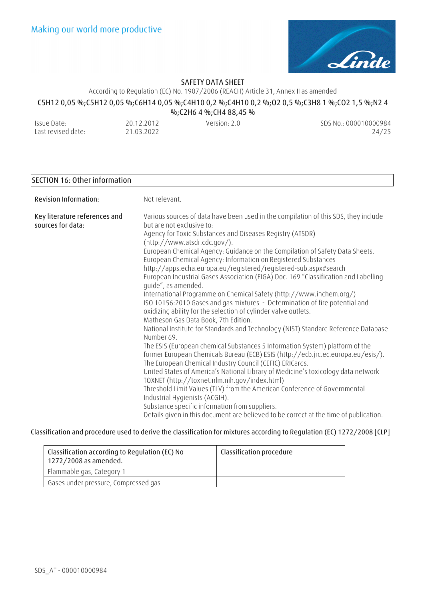

According to Regulation (EC) No. 1907/2006 (REACH) Article 31, Annex II as amended

# **C5H12 0,05 %;C5H12 0,05 %;C6H14 0,05 %;C4H10 0,2 %;C4H10 0,2 %;O2 0,5 %;C3H8 1 %;CO2 1,5 %;N2 4**

Issue Date: Last revised date:

20.12.2012 21.03.2022 **%;C2H6 4 %;CH4 88,45 %** 

Version: 2.0 SDS No.: 000010000984 24/25

### **SECTION 16: Other information**

| Revision Information:                              | Not relevant.                                                                                                                                                                                                                                                                                                                                                                                                                                                                                                                                                                                                                                                                                                                                                                                                                                                                                                                                                                                                                                                                                                                                                                                                                                                                                                                                                                                                                                                                                                                                         |
|----------------------------------------------------|-------------------------------------------------------------------------------------------------------------------------------------------------------------------------------------------------------------------------------------------------------------------------------------------------------------------------------------------------------------------------------------------------------------------------------------------------------------------------------------------------------------------------------------------------------------------------------------------------------------------------------------------------------------------------------------------------------------------------------------------------------------------------------------------------------------------------------------------------------------------------------------------------------------------------------------------------------------------------------------------------------------------------------------------------------------------------------------------------------------------------------------------------------------------------------------------------------------------------------------------------------------------------------------------------------------------------------------------------------------------------------------------------------------------------------------------------------------------------------------------------------------------------------------------------------|
| Key literature references and<br>sources for data: | Various sources of data have been used in the compilation of this SDS, they include<br>but are not exclusive to:<br>Agency for Toxic Substances and Diseases Registry (ATSDR)<br>(http://www.atsdr.cdc.gov/).<br>European Chemical Agency: Guidance on the Compilation of Safety Data Sheets.<br>European Chemical Agency: Information on Registered Substances<br>http://apps.echa.europa.eu/registered/registered-sub.aspx#search<br>European Industrial Gases Association (EIGA) Doc. 169 "Classification and Labelling<br>quide", as amended.<br>International Programme on Chemical Safety (http://www.inchem.org/)<br>ISO 10156:2010 Gases and gas mixtures - Determination of fire potential and<br>oxidizing ability for the selection of cylinder valve outlets.<br>Matheson Gas Data Book, 7th Edition.<br>National Institute for Standards and Technology (NIST) Standard Reference Database<br>Number 69.<br>The ESIS (European chemical Substances 5 Information System) platform of the<br>former European Chemicals Bureau (ECB) ESIS (http://ecb.jrc.ec.europa.eu/esis/).<br>The European Chemical Industry Council (CEFIC) ERICards.<br>United States of America's National Library of Medicine's toxicology data network<br>TOXNET (http://toxnet.nlm.nih.gov/index.html)<br>Threshold Limit Values (TLV) from the American Conference of Governmental<br>Industrial Hygienists (ACGIH).<br>Substance specific information from suppliers.<br>Details given in this document are believed to be correct at the time of publication. |

### **Classification and procedure used to derive the classification for mixtures according to Regulation (EC) 1272/2008 [CLP]**

| Classification according to Regulation (EC) No<br>1272/2008 as amended. | Classification procedure |
|-------------------------------------------------------------------------|--------------------------|
| Flammable gas, Category 1                                               |                          |
| Gases under pressure, Compressed gas                                    |                          |